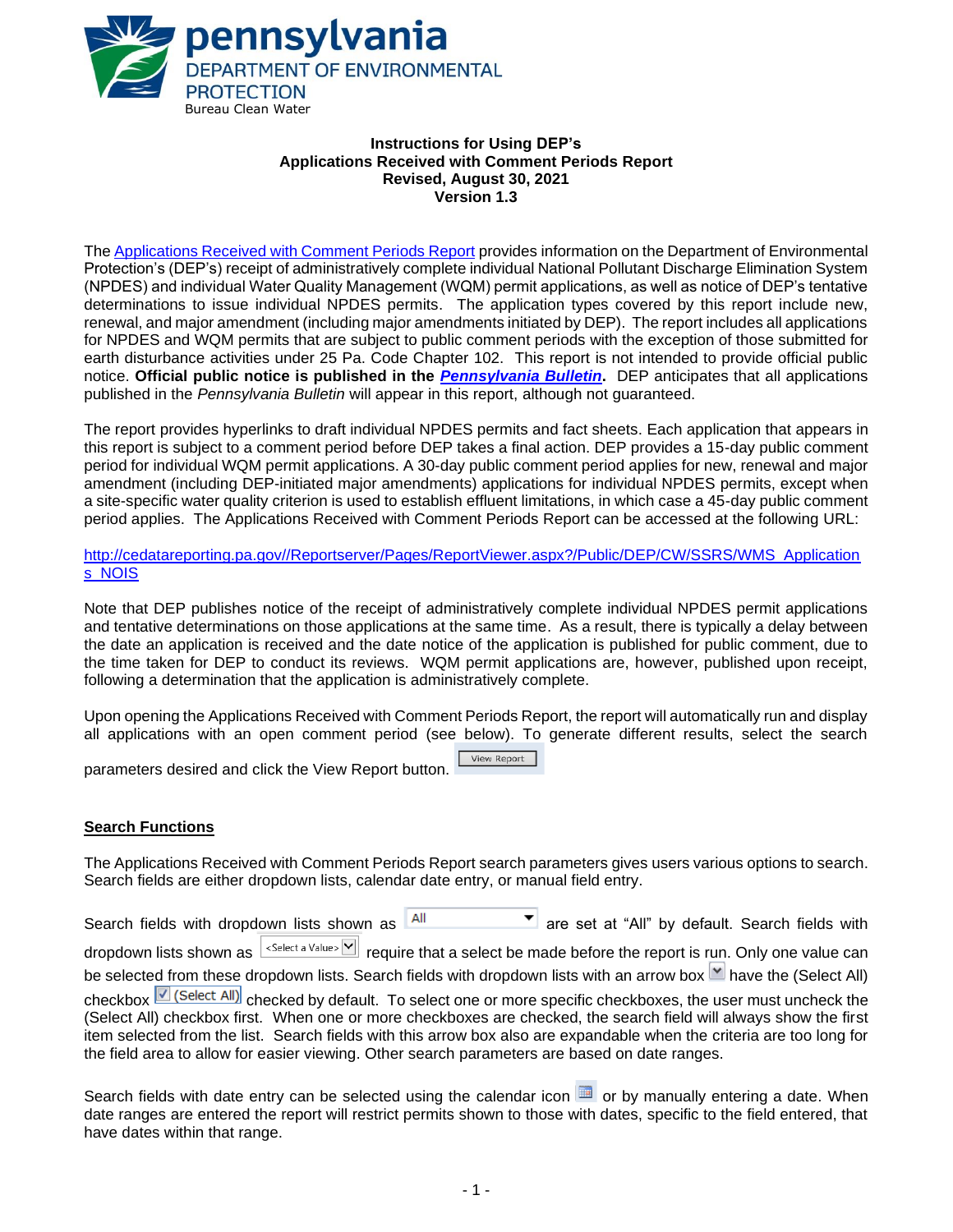

#### **Instructions for Using DEP's Applications Received with Comment Periods Report Revised, August 30, 2021 Version 1.3**

The Applications Received [with Comment Periods](http://cedatareporting.pa.gov/Reportserver/Pages/ReportViewer.aspx?/Public/DEP/CW/SSRS/WMS_Applications_NOIS) Report provides information on the Department of Environmental Protection's (DEP's) receipt of administratively complete individual National Pollutant Discharge Elimination System (NPDES) and individual Water Quality Management (WQM) permit applications, as well as notice of DEP's tentative determinations to issue individual NPDES permits. The application types covered by this report include new, renewal, and major amendment (including major amendments initiated by DEP). The report includes all applications for NPDES and WQM permits that are subject to public comment periods with the exception of those submitted for earth disturbance activities under 25 Pa. Code Chapter 102. This report is not intended to provide official public notice. **Official public notice is published in the** *[Pennsylvania Bulletin](http://www.pacodeandbulletin.gov/)***.** DEP anticipates that all applications published in the *Pennsylvania Bulletin* will appear in this report, although not guaranteed.

The report provides hyperlinks to draft individual NPDES permits and fact sheets. Each application that appears in this report is subject to a comment period before DEP takes a final action. DEP provides a 15-day public comment period for individual WQM permit applications. A 30-day public comment period applies for new, renewal and major amendment (including DEP-initiated major amendments) applications for individual NPDES permits, except when a site-specific water quality criterion is used to establish effluent limitations, in which case a 45-day public comment period applies. The Applications Received with Comment Periods Report can be accessed at the following URL:

[http://cedatareporting.pa.gov//Reportserver/Pages/ReportViewer.aspx?/Public/DEP/CW/SSRS/WMS\\_Application](http://cedatareporting.pa.gov/Reportserver/Pages/ReportViewer.aspx?/Public/DEP/CW/SSRS/WMS_Applications_NOIS) [s\\_NOIS](http://cedatareporting.pa.gov/Reportserver/Pages/ReportViewer.aspx?/Public/DEP/CW/SSRS/WMS_Applications_NOIS)

Note that DEP publishes notice of the receipt of administratively complete individual NPDES permit applications and tentative determinations on those applications at the same time. As a result, there is typically a delay between the date an application is received and the date notice of the application is published for public comment, due to the time taken for DEP to conduct its reviews. WQM permit applications are, however, published upon receipt, following a determination that the application is administratively complete.

Upon opening the Applications Received with Comment Periods Report, the report will automatically run and display all applications with an open comment period (see below). To generate different results, select the search

View Report parameters desired and click the View Report button.

## **Search Functions**

The Applications Received with Comment Periods Report search parameters gives users various options to search. Search fields are either dropdown lists, calendar date entry, or manual field entry.

Search fields with dropdown lists shown as  $\overline{AB}$  are set at "All" by default. Search fields with dropdown lists shown as statuded a Value > Y require that a select be made before the report is run. Only one value can be selected from these dropdown lists. Search fields with dropdown lists with an arrow box  $\Box$  have the (Select All) checkbox **C** (Select All) checked by default. To select one or more specific checkboxes, the user must uncheck the (Select All) checkbox first. When one or more checkboxes are checked, the search field will always show the first item selected from the list. Search fields with this arrow box also are expandable when the criteria are too long for the field area to allow for easier viewing. Other search parameters are based on date ranges.

Search fields with date entry can be selected using the calendar icon  $\Box$  or by manually entering a date. When date ranges are entered the report will restrict permits shown to those with dates, specific to the field entered, that have dates within that range.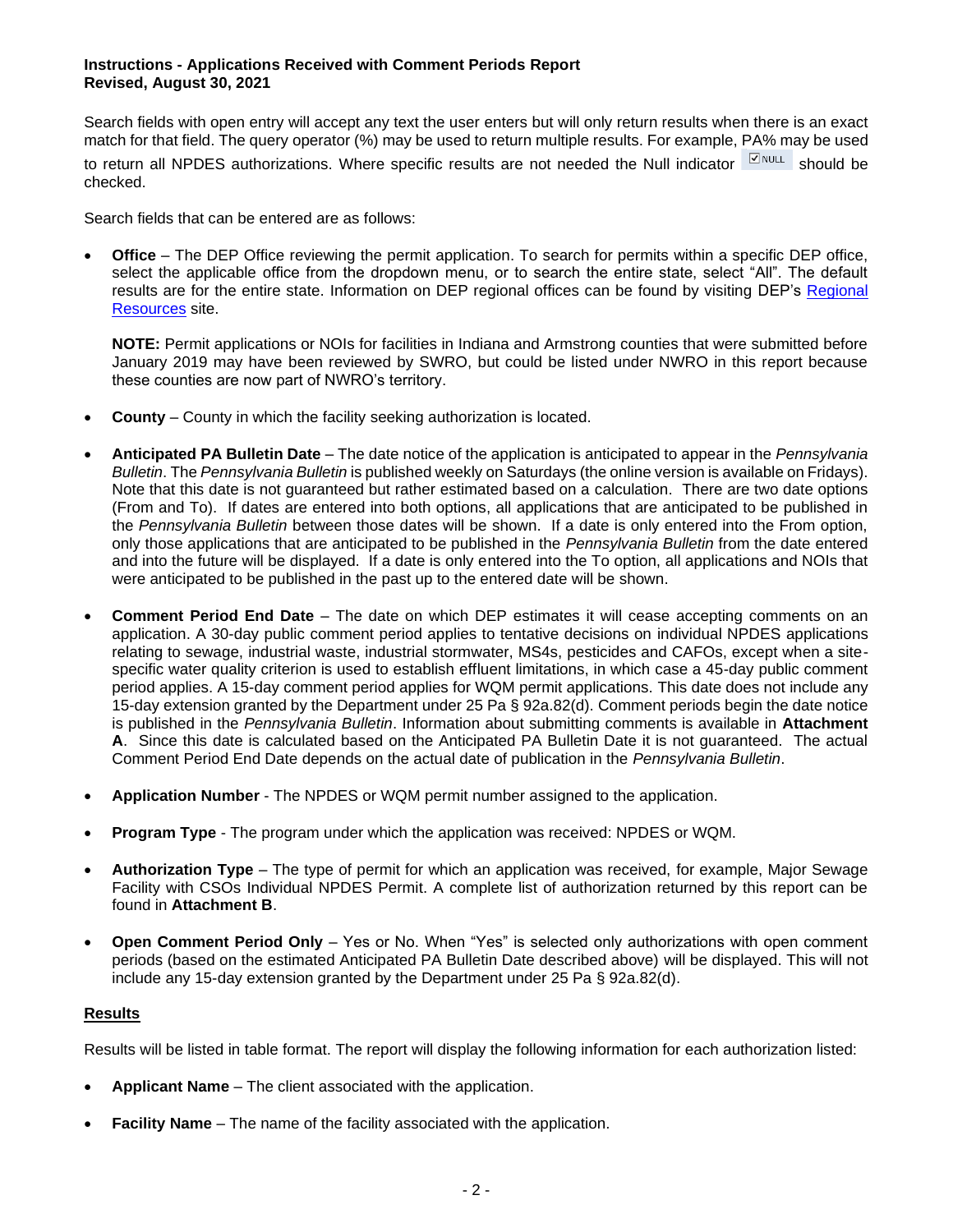## **Instructions - Applications Received with Comment Periods Report Revised, August 30, 2021**

Search fields with open entry will accept any text the user enters but will only return results when there is an exact match for that field. The query operator (%) may be used to return multiple results. For example, PA% may be used to return all NPDES authorizations. Where specific results are not needed the Null indicator  $\sqrt{\frac{1}{2}}$  should be checked.

Search fields that can be entered are as follows:

• **Office** – The DEP Office reviewing the permit application. To search for permits within a specific DEP office, select the applicable office from the dropdown menu, or to search the entire state, select "All". The default results are for the entire state. Information on DEP regional offices can be found by visiting DEP's [Regional](https://www.dep.pa.gov/About/Regional/Pages/default.aspx#.VfxOz99VhBc)  [Resources](https://www.dep.pa.gov/About/Regional/Pages/default.aspx#.VfxOz99VhBc) site.

**NOTE:** Permit applications or NOIs for facilities in Indiana and Armstrong counties that were submitted before January 2019 may have been reviewed by SWRO, but could be listed under NWRO in this report because these counties are now part of NWRO's territory.

- **County**  County in which the facility seeking authorization is located.
- **Anticipated PA Bulletin Date** The date notice of the application is anticipated to appear in the *Pennsylvania Bulletin*. The *Pennsylvania Bulletin* is published weekly on Saturdays (the online version is available on Fridays). Note that this date is not guaranteed but rather estimated based on a calculation. There are two date options (From and To). If dates are entered into both options, all applications that are anticipated to be published in the *Pennsylvania Bulletin* between those dates will be shown. If a date is only entered into the From option, only those applications that are anticipated to be published in the *Pennsylvania Bulletin* from the date entered and into the future will be displayed. If a date is only entered into the To option, all applications and NOIs that were anticipated to be published in the past up to the entered date will be shown.
- **Comment Period End Date** The date on which DEP estimates it will cease accepting comments on an application. A 30-day public comment period applies to tentative decisions on individual NPDES applications relating to sewage, industrial waste, industrial stormwater, MS4s, pesticides and CAFOs, except when a sitespecific water quality criterion is used to establish effluent limitations, in which case a 45-day public comment period applies. A 15-day comment period applies for WQM permit applications. This date does not include any 15-day extension granted by the Department under 25 Pa § 92a.82(d). Comment periods begin the date notice is published in the *Pennsylvania Bulletin*. Information about submitting comments is available in **Attachment A**. Since this date is calculated based on the Anticipated PA Bulletin Date it is not guaranteed. The actual Comment Period End Date depends on the actual date of publication in the *Pennsylvania Bulletin*.
- **Application Number** The NPDES or WQM permit number assigned to the application.
- **Program Type** The program under which the application was received: NPDES or WQM.
- **Authorization Type** The type of permit for which an application was received, for example, Major Sewage Facility with CSOs Individual NPDES Permit. A complete list of authorization returned by this report can be found in **Attachment B**.
- **Open Comment Period Only** Yes or No. When "Yes" is selected only authorizations with open comment periods (based on the estimated Anticipated PA Bulletin Date described above) will be displayed. This will not include any 15-day extension granted by the Department under 25 Pa § 92a.82(d).

## **Results**

Results will be listed in table format. The report will display the following information for each authorization listed:

- **Applicant Name** The client associated with the application.
- **Facility Name** The name of the facility associated with the application.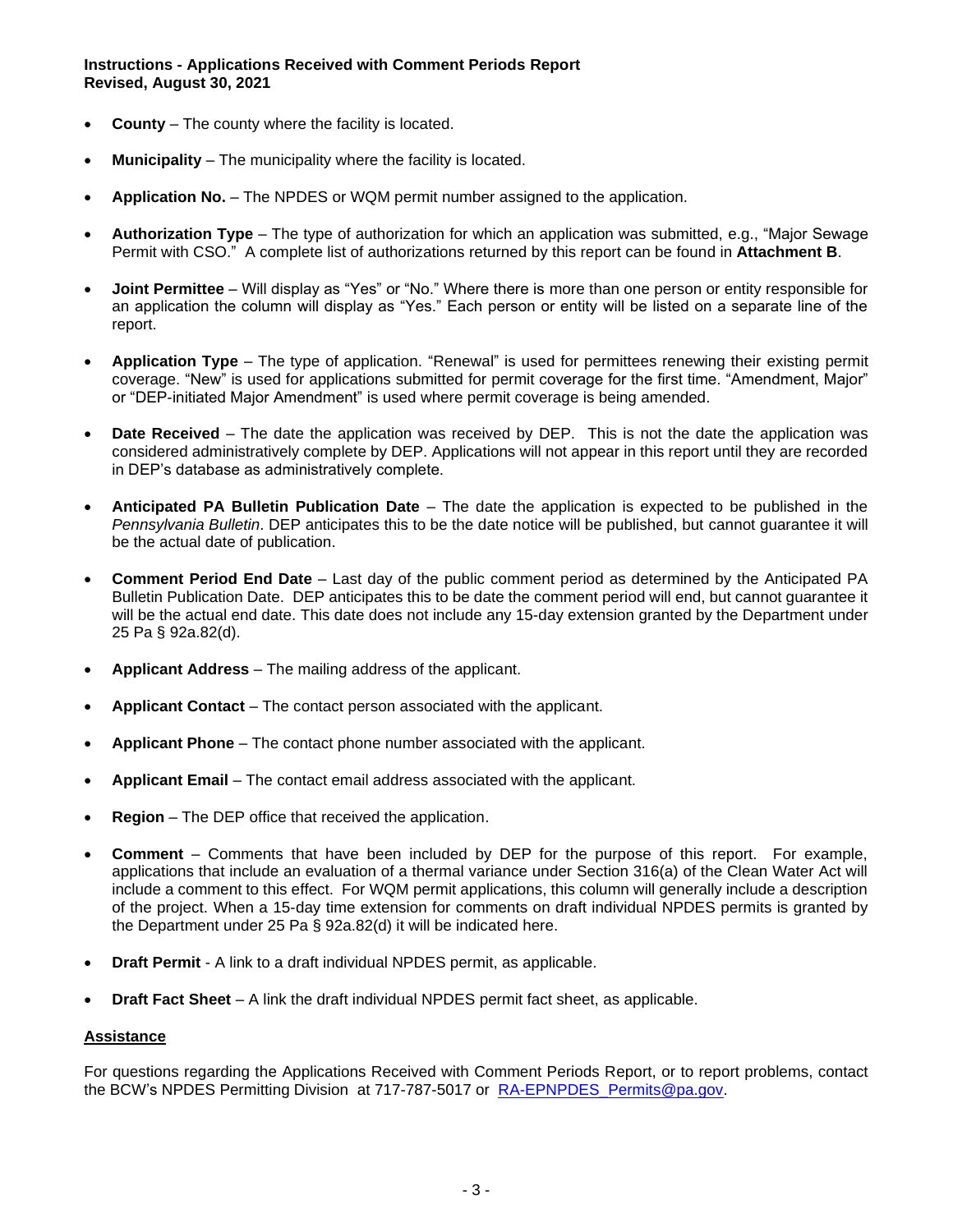- **County** The county where the facility is located.
- **Municipality** The municipality where the facility is located.
- **Application No.** The NPDES or WQM permit number assigned to the application.
- **Authorization Type** The type of authorization for which an application was submitted, e.g., "Major Sewage Permit with CSO." A complete list of authorizations returned by this report can be found in **Attachment B**.
- **Joint Permittee** Will display as "Yes" or "No." Where there is more than one person or entity responsible for an application the column will display as "Yes." Each person or entity will be listed on a separate line of the report.
- **Application Type** The type of application. "Renewal" is used for permittees renewing their existing permit coverage. "New" is used for applications submitted for permit coverage for the first time. "Amendment, Major" or "DEP-initiated Major Amendment" is used where permit coverage is being amended.
- **Date Received** The date the application was received by DEP. This is not the date the application was considered administratively complete by DEP. Applications will not appear in this report until they are recorded in DEP's database as administratively complete.
- **Anticipated PA Bulletin Publication Date** The date the application is expected to be published in the *Pennsylvania Bulletin*. DEP anticipates this to be the date notice will be published, but cannot guarantee it will be the actual date of publication.
- **Comment Period End Date** Last day of the public comment period as determined by the Anticipated PA Bulletin Publication Date. DEP anticipates this to be date the comment period will end, but cannot guarantee it will be the actual end date. This date does not include any 15-day extension granted by the Department under 25 Pa § 92a.82(d).
- **Applicant Address** The mailing address of the applicant.
- **Applicant Contact** The contact person associated with the applicant.
- **Applicant Phone** The contact phone number associated with the applicant.
- **Applicant Email** The contact email address associated with the applicant.
- **Region** The DEP office that received the application.
- **Comment** Comments that have been included by DEP for the purpose of this report. For example, applications that include an evaluation of a thermal variance under Section 316(a) of the Clean Water Act will include a comment to this effect. For WQM permit applications, this column will generally include a description of the project. When a 15-day time extension for comments on draft individual NPDES permits is granted by the Department under 25 Pa § 92a.82(d) it will be indicated here.
- **Draft Permit** A link to a draft individual NPDES permit, as applicable.
- **Draft Fact Sheet** A link the draft individual NPDES permit fact sheet, as applicable.

#### **Assistance**

For questions regarding the Applications Received with Comment Periods Report, or to report problems, contact the BCW's NPDES Permitting Division at 717-787-5017 or RA-EPNPDES Permits@pa.gov.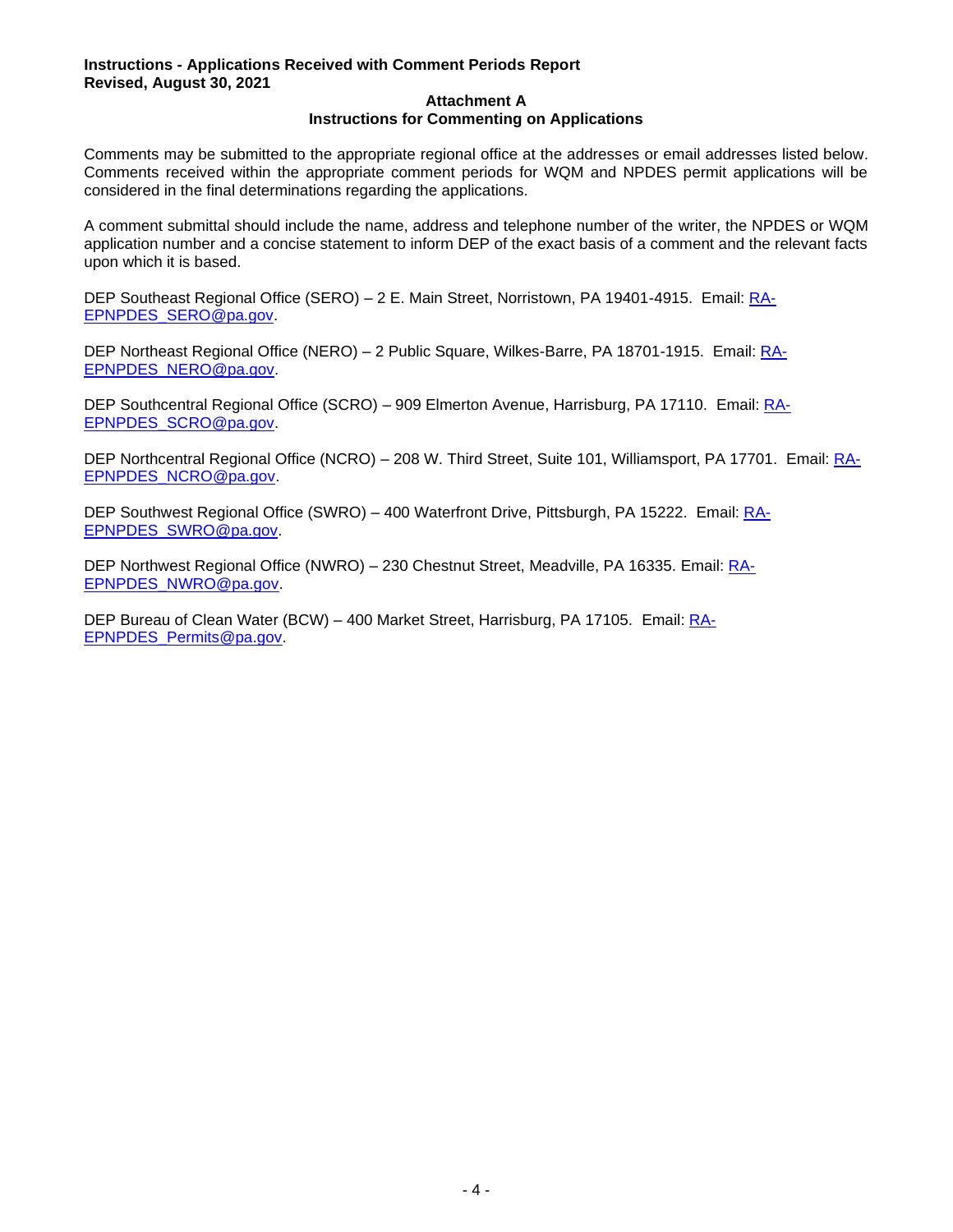## **Instructions - Applications Received with Comment Periods Report Revised, August 30, 2021**

#### **Attachment A Instructions for Commenting on Applications**

Comments may be submitted to the appropriate regional office at the addresses or email addresses listed below. Comments received within the appropriate comment periods for WQM and NPDES permit applications will be considered in the final determinations regarding the applications.

A comment submittal should include the name, address and telephone number of the writer, the NPDES or WQM application number and a concise statement to inform DEP of the exact basis of a comment and the relevant facts upon which it is based.

DEP Southeast Regional Office (SERO) – 2 E. Main Street, Norristown, PA 19401-4915. Email: [RA-](mailto:RA-EPNPDES_SERO@pa.gov)[EPNPDES\\_SERO@pa.gov.](mailto:RA-EPNPDES_SERO@pa.gov)

DEP Northeast Regional Office (NERO) - 2 Public Square, Wilkes-Barre, PA 18701-1915. Email: [RA-](mailto:RA-EPNPDES_NERO@pa.gov)[EPNPDES\\_NERO@pa.gov.](mailto:RA-EPNPDES_NERO@pa.gov)

DEP Southcentral Regional Office (SCRO) – 909 Elmerton Avenue, Harrisburg, PA 17110. Email: [RA-](mailto:RA-EPNPDES_SCRO@pa.gov)[EPNPDES\\_SCRO@pa.gov.](mailto:RA-EPNPDES_SCRO@pa.gov)

DEP Northcentral Regional Office (NCRO) – 208 W. Third Street, Suite 101, Williamsport, PA 17701. Email: [RA-](mailto:RA-EPNPDES_NCRO@pa.gov)[EPNPDES\\_NCRO@pa.gov.](mailto:RA-EPNPDES_NCRO@pa.gov)

DEP Southwest Regional Office (SWRO) – 400 Waterfront Drive, Pittsburgh, PA 15222. Email: [RA-](mailto:RA-EPNPDES_SWRO@pa.gov)[EPNPDES\\_SWRO@pa.gov.](mailto:RA-EPNPDES_SWRO@pa.gov)

DEP Northwest Regional Office (NWRO) – 230 Chestnut Street, Meadville, PA 16335. Email: [RA-](mailto:RA-EPNPDES_NWRO@pa.gov)[EPNPDES\\_NWRO@pa.gov.](mailto:RA-EPNPDES_NWRO@pa.gov)

DEP Bureau of Clean Water (BCW) – 400 Market Street, Harrisburg, PA 17105. Email: [RA-](mailto:RA-EPNPDES_Permits@pa.gov)[EPNPDES\\_Permits@pa.gov.](mailto:RA-EPNPDES_Permits@pa.gov)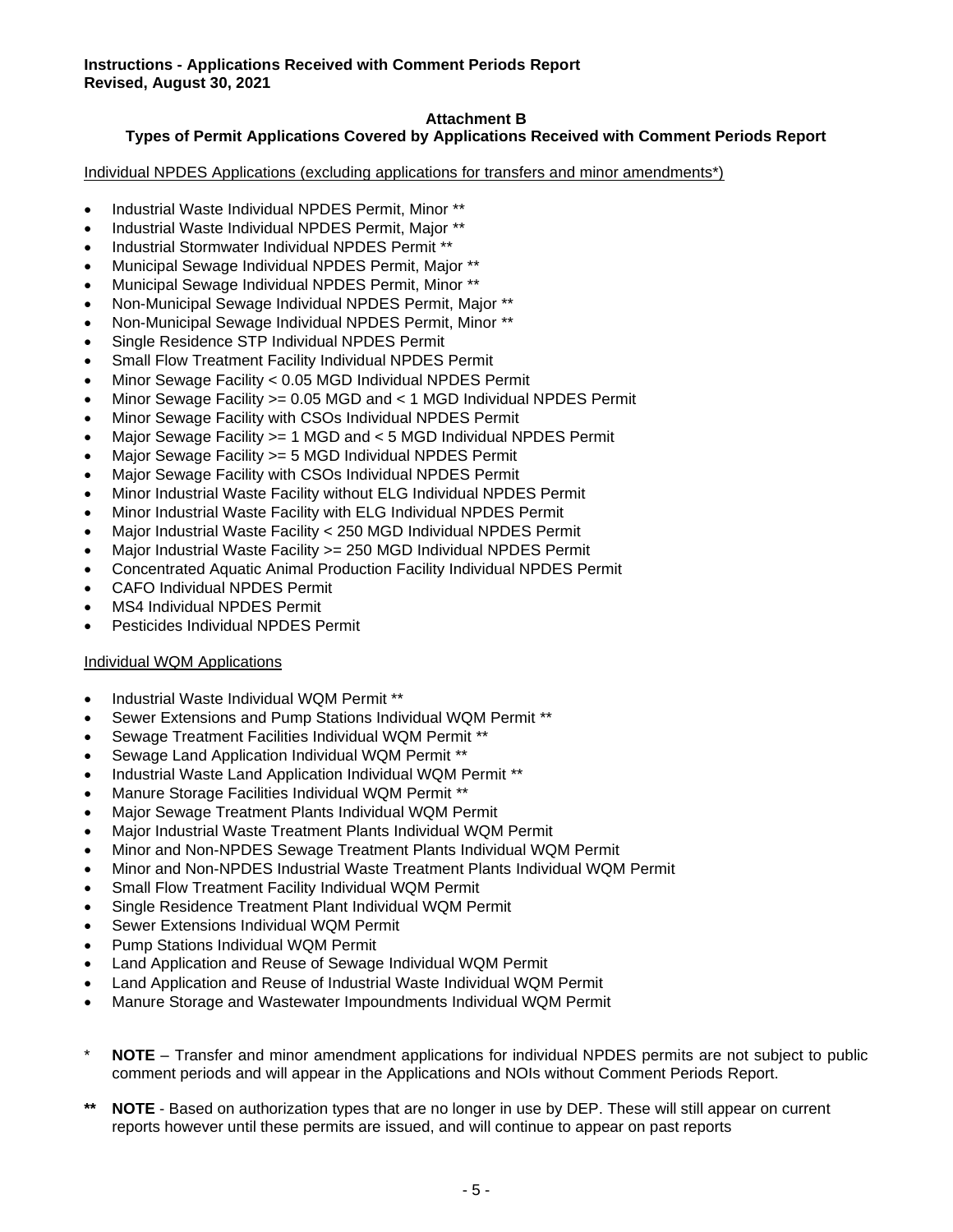## **Attachment B**

## **Types of Permit Applications Covered by Applications Received with Comment Periods Report**

Individual NPDES Applications (excluding applications for transfers and minor amendments\*)

- Industrial Waste Individual NPDES Permit, Minor \*\*
- Industrial Waste Individual NPDES Permit, Major \*\*
- Industrial Stormwater Individual NPDES Permit \*\*
- Municipal Sewage Individual NPDES Permit, Major \*\*
- Municipal Sewage Individual NPDES Permit, Minor \*\*
- Non-Municipal Sewage Individual NPDES Permit, Major \*\*
- Non-Municipal Sewage Individual NPDES Permit, Minor \*\*
- Single Residence STP Individual NPDES Permit
- Small Flow Treatment Facility Individual NPDES Permit
- Minor Sewage Facility < 0.05 MGD Individual NPDES Permit
- Minor Sewage Facility >= 0.05 MGD and < 1 MGD Individual NPDES Permit
- Minor Sewage Facility with CSOs Individual NPDES Permit
- Major Sewage Facility >= 1 MGD and < 5 MGD Individual NPDES Permit
- Major Sewage Facility > = 5 MGD Individual NPDES Permit
- Major Sewage Facility with CSOs Individual NPDES Permit
- Minor Industrial Waste Facility without ELG Individual NPDES Permit
- Minor Industrial Waste Facility with ELG Individual NPDES Permit
- Major Industrial Waste Facility < 250 MGD Individual NPDES Permit
- Major Industrial Waste Facility > = 250 MGD Individual NPDES Permit
- Concentrated Aquatic Animal Production Facility Individual NPDES Permit
- CAFO Individual NPDES Permit
- MS4 Individual NPDES Permit
- Pesticides Individual NPDES Permit

#### Individual WQM Applications

- Industrial Waste Individual WQM Permit \*\*
- Sewer Extensions and Pump Stations Individual WQM Permit \*\*
- Sewage Treatment Facilities Individual WQM Permit \*\*
- Sewage Land Application Individual WQM Permit \*\*
- Industrial Waste Land Application Individual WQM Permit \*\*
- Manure Storage Facilities Individual WQM Permit \*\*
- Major Sewage Treatment Plants Individual WQM Permit
- Major Industrial Waste Treatment Plants Individual WQM Permit
- Minor and Non-NPDES Sewage Treatment Plants Individual WQM Permit
- Minor and Non-NPDES Industrial Waste Treatment Plants Individual WQM Permit
- Small Flow Treatment Facility Individual WQM Permit
- Single Residence Treatment Plant Individual WQM Permit
- Sewer Extensions Individual WQM Permit
- Pump Stations Individual WQM Permit
- Land Application and Reuse of Sewage Individual WQM Permit
- Land Application and Reuse of Industrial Waste Individual WQM Permit
- Manure Storage and Wastewater Impoundments Individual WQM Permit
- **NOTE** Transfer and minor amendment applications for individual NPDES permits are not subject to public comment periods and will appear in the Applications and NOIs without Comment Periods Report.
- **NOTE** Based on authorization types that are no longer in use by DEP. These will still appear on current reports however until these permits are issued, and will continue to appear on past reports